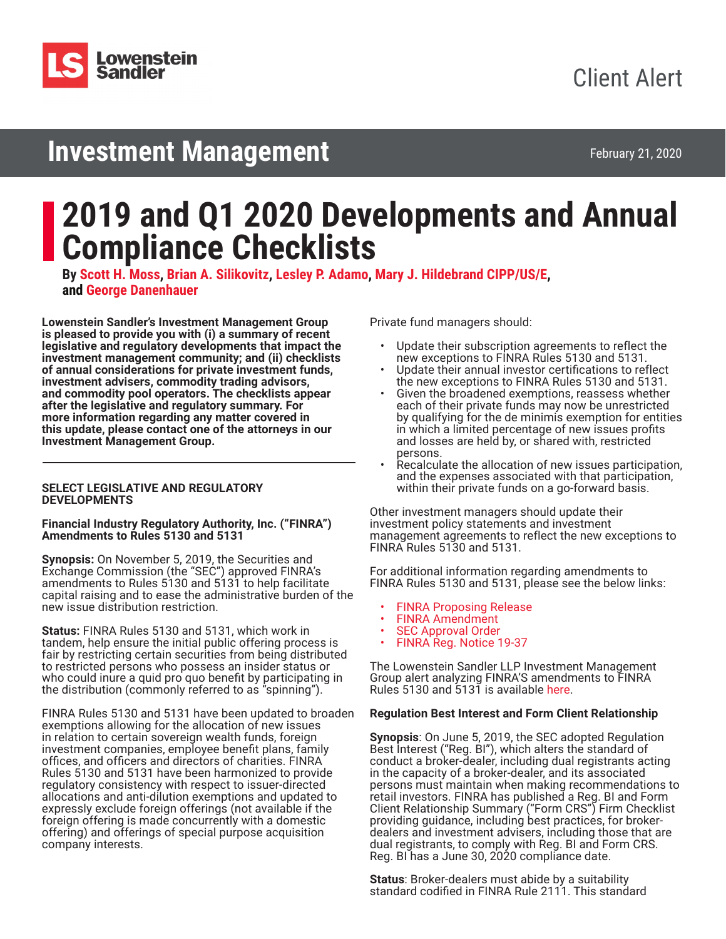

# **Investment Management**

February 21, 2020

# **2019 and Q1 2020 Developments and Annual Compliance Checklists**

**By [Scott H. Moss](https://www.lowenstein.com/people/attorneys/scott-moss), [Brian A. Silikovitz](https://www.lowenstein.com/people/attorneys/brian-silikovitz), [Lesley P. Adamo,](https://www.lowenstein.com/people/attorneys/lesley-adamo) [Mary J. Hildebrand CIPP/US/E,](https://www.lowenstein.com/people/attorneys/mary-hildebrand) and [George Danenhauer](https://www.lowenstein.com/people/attorneys/george-danenhauer)**

**Lowenstein Sandler's Investment Management Group is pleased to provide you with (i) a summary of recent legislative and regulatory developments that impact the investment management community; and (ii) checklists of annual considerations for private investment funds, investment advisers, commodity trading advisors, and commodity pool operators. The checklists appear after the legislative and regulatory summary. For more information regarding any matter covered in this update, please contact one of the attorneys in our Investment Management Group.** 

#### **SELECT LEGISLATIVE AND REGULATORY DEVELOPMENTS**

#### **Financial Industry Regulatory Authority, Inc. ("FINRA") Amendments to Rules 5130 and 5131**

**Synopsis:** On November 5, 2019, the Securities and Exchange Commission (the "SEC") approved FINRA's amendments to Rules 5130 and 5131 to help facilitate capital raising and to ease the administrative burden of the new issue distribution restriction.

**Status:** FINRA Rules 5130 and 5131, which work in tandem, help ensure the initial public offering process is fair by restricting certain securities from being distributed to restricted persons who possess an insider status or who could inure a quid pro quo benefit by participating in the distribution (commonly referred to as "spinning").

FINRA Rules 5130 and 5131 have been updated to broaden exemptions allowing for the allocation of new issues in relation to certain sovereign wealth funds, foreign investment companies, employee benefit plans, family offices, and officers and directors of charities. FINRA Rules 5130 and 5131 have been harmonized to provide regulatory consistency with respect to issuer-directed allocations and anti-dilution exemptions and updated to expressly exclude foreign offerings (not available if the foreign offering is made concurrently with a domestic offering) and offerings of special purpose acquisition company interests.

Private fund managers should:

- Update their subscription agreements to reflect the new exceptions to FINRA Rules 5130 and 5131.
- Update their annual investor certifications to reflect the new exceptions to FINRA Rules 5130 and 5131.
- Given the broadened exemptions, reassess whether each of their private funds may now be unrestricted by qualifying for the de minimis exemption for entities in which a limited percentage of new issues profits and losses are held by, or shared with, restricted persons.
- Recalculate the allocation of new issues participation, and the expenses associated with that participation, within their private funds on a go-forward basis.

Other investment managers should update their investment policy statements and investment management agreements to reflect the new exceptions to FINRA Rules 5130 and 5131.

For additional information regarding amendments to FINRA Rules 5130 and 5131, please see the below links:

- [FINRA Proposing Release](https://www.govinfo.gov/content/pkg/FR-2019-08-08/pdf/2019-16942.pdf)
- [FINRA Amendment](https://www.sec.gov/comments/sr-finra-2019-022/srfinra2019022-6374572-196927.pdf)
- [SEC Approval Order](https://www.govinfo.gov/content/pkg/FR-2019-11-12/pdf/2019-24494.pdf)
- FINRA Reg. Notice 19-37

The Lowenstein Sandler LLP Investment Management Group alert analyzing FINRA'S amendments to FINRA Rules 5130 and 5131 is available [here.](https://www.lowenstein.com/news-insights/publications/client-alerts/finra-amends-new-issue-rules-5130-and-5131-investment-management)

# **Regulation Best Interest and Form Client Relationship**

**Synopsis**: On June 5, 2019, the SEC adopted Regulation<br>Best Interest ("Reg. BI"), which alters the standard of conduct a broker-dealer, including dual registrants acting in the capacity of a broker-dealer, and its associated persons must maintain when making recommendations to retail investors. FINRA has published a Reg. BI and Form Client Relationship Summary ("Form CRS") Firm Checklist providing guidance, including best practices, for brokerdealers and investment advisers, including those that are dual registrants, to comply with Reg. BI and Form CRS. Reg. BI has a June 30, 2020 compliance date.

**Status**: Broker-dealers must abide by a suitability standard codified in FINRA Rule 2111. This standard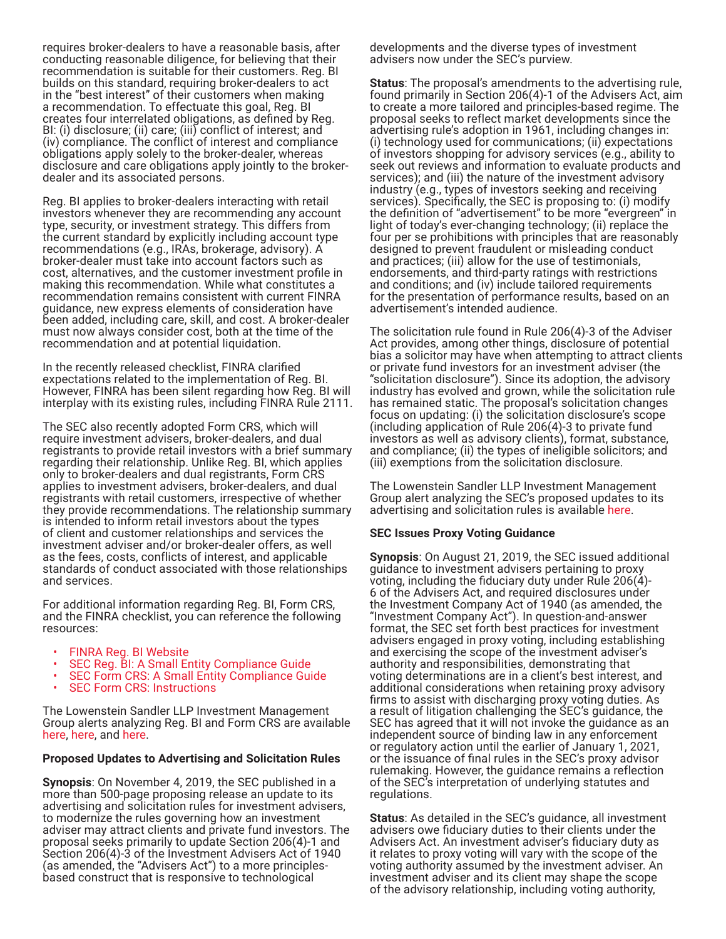requires broker-dealers to have a reasonable basis, after conducting reasonable diligence, for believing that their recommendation is suitable for their customers. Reg. BI builds on this standard, requiring broker-dealers to act in the "best interest" of their customers when making a recommendation. To effectuate this goal, Reg. BI creates four interrelated obligations, as defined by Reg. BI: (i) disclosure; (ii) care; (iii) conflict of interest; and (iv) compliance. The conflict of interest and compliance obligations apply solely to the broker-dealer, whereas disclosure and care obligations apply jointly to the brokerdealer and its associated persons.

Reg. BI applies to broker-dealers interacting with retail investors whenever they are recommending any account type, security, or investment strategy. This differs from the current standard by explicitly including account type recommendations (e.g., IRAs, brokerage, advisory). A broker-dealer must take into account factors such as cost, alternatives, and the customer investment profile in making this recommendation. While what constitutes a recommendation remains consistent with current FINRA guidance, new express elements of consideration have been added, including care, skill, and cost. A broker-dealer must now always consider cost, both at the time of the recommendation and at potential liquidation.

In the recently released checklist, FINRA clarified expectations related to the implementation of Reg. BI. However, FINRA has been silent regarding how Reg. BI will interplay with its existing rules, including FINRA Rule 2111.

The SEC also recently adopted Form CRS, which will require investment advisers, broker-dealers, and dual registrants to provide retail investors with a brief summary regarding their relationship. Unlike Reg. BI, which applies only to broker-dealers and dual registrants, Form CRS applies to investment advisers, broker-dealers, and dual registrants with retail customers, irrespective of whether they provide recommendations. The relationship summary is intended to inform retail investors about the types of client and customer relationships and services the investment adviser and/or broker-dealer offers, as well as the fees, costs, conflicts of interest, and applicable standards of conduct associated with those relationships and services.

For additional information regarding Reg. BI, Form CRS, and the FINRA checklist, you can reference the following resources:

- [FINRA Reg. BI Website](https://www.finra.org/rules-guidance/key-topics/regulation-best-interest)
- [SEC Reg. BI: A Small Entity Compliance Guide](https://www.sec.gov/info/smallbus/secg/regulation-best-interest)
- [SEC Form CRS: A Small Entity Compliance Guide](https://www.sec.gov/info/smallbus/secg/form-crs-relationship-summary)
- [SEC Form CRS: Instructions](https://www.sec.gov/rules/final/2019/34-86032-appendix-b.pdf)

The Lowenstein Sandler LLP Investment Management Group alerts analyzing Reg. BI and Form CRS are available [here,](https://www.lowenstein.com/news-insights/publications/client-alerts/finra-provides-guidance-on-regulation-best-interest-and-form-crs-investment-management) [here,](https://www.lowenstein.com/news-insights/publications/client-alerts/finra-to-broker-dealers-gearing-up-for-regulation-bi-don-t-panic-prepare-investment-management) and [here](https://www.lowenstein.com/news-insights/publications/client-alerts/key-takeaways-from-sec-s-reg-bi-frequently-asked-questions).

#### **Proposed Updates to Advertising and Solicitation Rules**

**Synopsis**: On November 4, 2019, the SEC published in a more than 500-page proposing release an update to its advertising and solicitation rules for investment advisers, to modernize the rules governing how an investment adviser may attract clients and private fund investors. The proposal seeks primarily to update Section 206(4)-1 and Section 206(4)-3 of the Investment Advisers Act of 1940 (as amended, the "Advisers Act") to a more principlesbased construct that is responsive to technological

developments and the diverse types of investment advisers now under the SEC's purview.

**Status**: The proposal's amendments to the advertising rule, found primarily in Section 206(4)-1 of the Advisers Act, aim to create a more tailored and principles-based regime. The proposal seeks to reflect market developments since the advertising rule's adoption in 1961, including changes in: (i) technology used for communications; (ii) expectations of investors shopping for advisory services (e.g., ability to seek out reviews and information to evaluate products and services); and (iii) the nature of the investment advisory industry (e.g., types of investors seeking and receiving services). Specifically, the SEC is proposing to: (i) modify the definition of "advertisement" to be more "evergreen" in light of today's ever-changing technology; (ii) replace the four per se prohibitions with principles that are reasonably designed to prevent fraudulent or misleading conduct and practices; (iii) allow for the use of testimonials, endorsements, and third-party ratings with restrictions and conditions; and (iv) include tailored requirements for the presentation of performance results, based on an advertisement's intended audience.

The solicitation rule found in Rule 206(4)-3 of the Adviser Act provides, among other things, disclosure of potential bias a solicitor may have when attempting to attract clients or private fund investors for an investment adviser (the "solicitation disclosure"). Since its adoption, the advisory industry has evolved and grown, while the solicitation rule has remained static. The proposal's solicitation changes focus on updating: (i) the solicitation disclosure's scope (including application of Rule 206(4)-3 to private fund investors as well as advisory clients), format, substance, and compliance; (ii) the types of ineligible solicitors; and (iii) exemptions from the solicitation disclosure.

The Lowenstein Sandler LLP Investment Management Group alert analyzing the SEC's proposed updates to its advertising and solicitation rules is available [here](https://www.lowenstein.com/news-insights/publications/client-alerts/sec-seeks-to-modernize-laws-of-attraction-for-investment-advisers-by-updating-advertising-and-cash-solicitation-rules-investment-management).

#### **SEC Issues Proxy Voting Guidance**

**Synopsis**: On August 21, 2019, the SEC issued additional guidance to investment advisers pertaining to proxy voting, including the fiduciary duty under Rule 206(4)- 6 of the Advisers Act, and required disclosures under the Investment Company Act of 1940 (as amended, the "Investment Company Act"). In question-and-answer format, the SEC set forth best practices for investment advisers engaged in proxy voting, including establishing and exercising the scope of the investment adviser's authority and responsibilities, demonstrating that voting determinations are in a client's best interest, and additional considerations when retaining proxy advisory firms to assist with discharging proxy voting duties. As a result of litigation challenging the SEC's guidance, the SEC has agreed that it will not invoke the guidance as an independent source of binding law in any enforcement or regulatory action until the earlier of January 1, 2021, or the issuance of final rules in the SEC's proxy advisor rulemaking. However, the guidance remains a reflection of the SEC's interpretation of underlying statutes and regulations.

**Status**: As detailed in the SEC's guidance, all investment advisers owe fiduciary duties to their clients under the Advisers Act. An investment adviser's fiduciary duty as it relates to proxy voting will vary with the scope of the voting authority assumed by the investment adviser. An investment adviser and its client may shape the scope of the advisory relationship, including voting authority,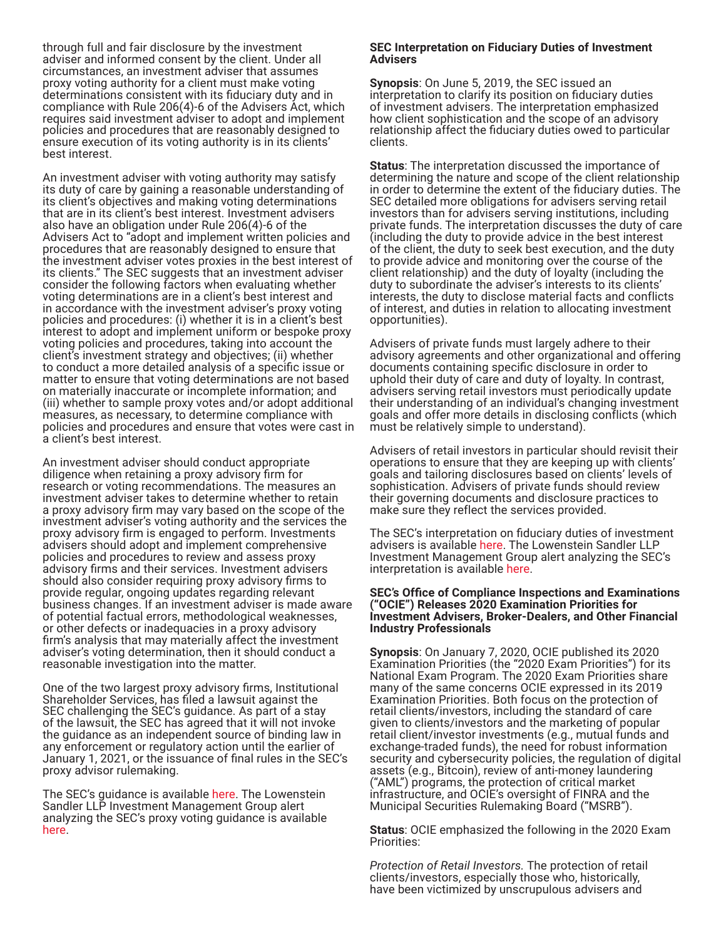through full and fair disclosure by the investment adviser and informed consent by the client. Under all circumstances, an investment adviser that assumes proxy voting authority for a client must make voting determinations consistent with its fiduciary duty and in compliance with Rule 206(4)-6 of the Advisers Act, which requires said investment adviser to adopt and implement policies and procedures that are reasonably designed to ensure execution of its voting authority is in its clients' best interest.

An investment adviser with voting authority may satisfy its duty of care by gaining a reasonable understanding of its client's objectives and making voting determinations that are in its client's best interest. Investment advisers also have an obligation under Rule 206(4)-6 of the Advisers Act to "adopt and implement written policies and procedures that are reasonably designed to ensure that the investment adviser votes proxies in the best interest of its clients." The SEC suggests that an investment adviser consider the following factors when evaluating whether voting determinations are in a client's best interest and in accordance with the investment adviser's proxy voting policies and procedures: (i) whether it is in a client's best interest to adopt and implement uniform or bespoke proxy voting policies and procedures, taking into account the client's investment strategy and objectives; (ii) whether to conduct a more detailed analysis of a specific issue or matter to ensure that voting determinations are not based on materially inaccurate or incomplete information; and (iii) whether to sample proxy votes and/or adopt additional measures, as necessary, to determine compliance with policies and procedures and ensure that votes were cast in a client's best interest.

An investment adviser should conduct appropriate diligence when retaining a proxy advisory firm for research or voting recommendations. The measures an investment adviser takes to determine whether to retain a proxy advisory firm may vary based on the scope of the investment adviser's voting authority and the services the proxy advisory firm is engaged to perform. Investments advisers should adopt and implement comprehensive policies and procedures to review and assess proxy advisory firms and their services. Investment advisers should also consider requiring proxy advisory firms to provide regular, ongoing updates regarding relevant business changes. If an investment adviser is made aware of potential factual errors, methodological weaknesses, or other defects or inadequacies in a proxy advisory firm's analysis that may materially affect the investment adviser's voting determination, then it should conduct a reasonable investigation into the matter.

One of the two largest proxy advisory firms, Institutional Shareholder Services, has filed a lawsuit against the SEC challenging the SEC's guidance. As part of a stay of the lawsuit, the SEC has agreed that it will not invoke the guidance as an independent source of binding law in any enforcement or regulatory action until the earlier of January 1, 2021, or the issuance of final rules in the SEC's proxy advisor rulemaking.

The SEC's quidance is available [here.](https://www.sec.gov/rules/interp/2019/ia-5325.pdf) The Lowenstein Sandler LLP Investment Management Group alert analyzing the SEC's proxy voting guidance is available [here.](https://www.lowenstein.com/news-insights/publications/client-alerts/sec-further-clarifies-proxy-voting-responsibilities-of-investment-advisers-investment-management)

#### **SEC Interpretation on Fiduciary Duties of Investment Advisers**

**Synopsis**: On June 5, 2019, the SEC issued an interpretation to clarify its position on fiduciary duties of investment advisers. The interpretation emphasized how client sophistication and the scope of an advisory relationship affect the fiduciary duties owed to particular clients.

**Status**: The interpretation discussed the importance of determining the nature and scope of the client relationship in order to determine the extent of the fiduciary duties. The SEC detailed more obligations for advisers serving retail investors than for advisers serving institutions, including private funds. The interpretation discusses the duty of care (including the duty to provide advice in the best interest of the client, the duty to seek best execution, and the duty to provide advice and monitoring over the course of the client relationship) and the duty of loyalty (including the duty to subordinate the adviser's interests to its clients' interests, the duty to disclose material facts and conflicts of interest, and duties in relation to allocating investment opportunities).

Advisers of private funds must largely adhere to their advisory agreements and other organizational and offering documents containing specific disclosure in order to uphold their duty of care and duty of loyalty. In contrast, advisers serving retail investors must periodically update their understanding of an individual's changing investment goals and offer more details in disclosing conflicts (which must be relatively simple to understand).

Advisers of retail investors in particular should revisit their operations to ensure that they are keeping up with clients' goals and tailoring disclosures based on clients' levels of sophistication. Advisers of private funds should review their governing documents and disclosure practices to make sure they reflect the services provided.

The SEC's interpretation on fiduciary duties of investment advisers is available [here](https://www.sec.gov/rules/interp/2019/ia-5248.pdf). The Lowenstein Sandler LLP Investment Management Group alert analyzing the SEC's interpretation is available [here.](https://www.lowenstein.com/news-insights/publications/client-alerts/sec-clarifies-federal-fiduciary-duties-of-investment-advisers-investment-management)

#### **SEC's Office of Compliance Inspections and Examinations ("OCIE") Releases 2020 Examination Priorities for Investment Advisers, Broker-Dealers, and Other Financial Industry Professionals**

**Synopsis**: On January 7, 2020, OCIE published its 2020 Examination Priorities (the "2020 Exam Priorities") for its National Exam Program. The 2020 Exam Priorities share many of the same concerns OCIE expressed in its 2019 Examination Priorities. Both focus on the protection of retail clients/investors, including the standard of care given to clients/investors and the marketing of popular retail client/investor investments (e.g., mutual funds and exchange-traded funds), the need for robust information security and cybersecurity policies, the regulation of digital assets (e.g., Bitcoin), review of anti-money laundering ("AML") programs, the protection of critical market infrastructure, and OCIE's oversight of FINRA and the Municipal Securities Rulemaking Board ("MSRB").

**Status**: OCIE emphasized the following in the 2020 Exam Priorities:

*Protection of Retail Investors.* The protection of retail clients/investors, especially those who, historically, have been victimized by unscrupulous advisers and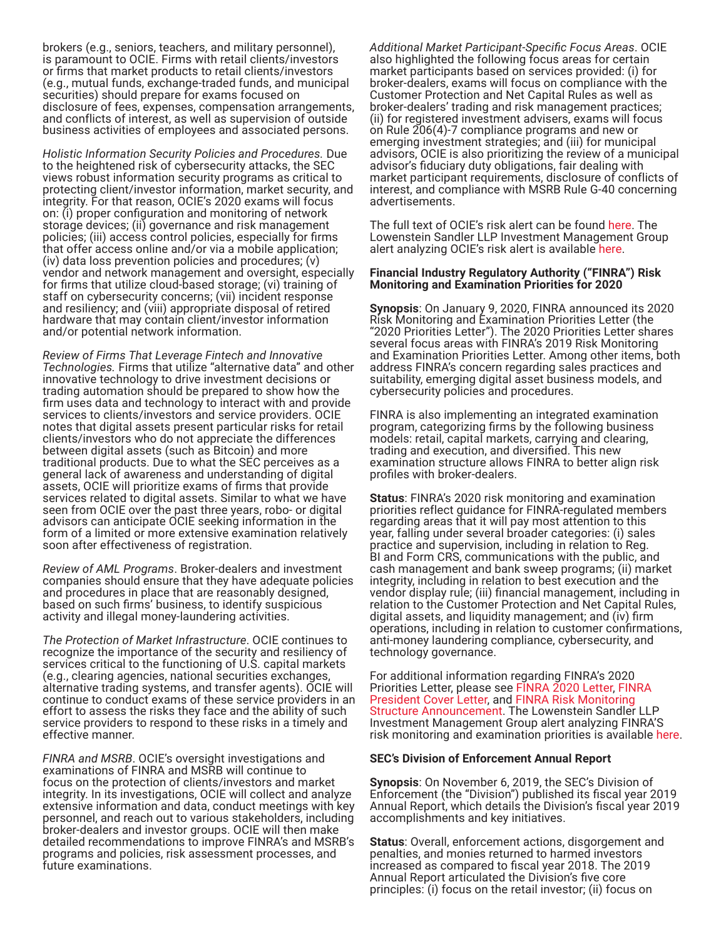brokers (e.g., seniors, teachers, and military personnel), is paramount to OCIE. Firms with retail clients/investors or firms that market products to retail clients/investors (e.g., mutual funds, exchange-traded funds, and municipal securities) should prepare for exams focused on disclosure of fees, expenses, compensation arrangements, and conflicts of interest, as well as supervision of outside business activities of employees and associated persons.

*Holistic Information Security Policies and Procedures.* Due to the heightened risk of cybersecurity attacks, the SEC views robust information security programs as critical to protecting client/investor information, market security, and integrity. For that reason, OCIE's 2020 exams will focus on: (i) proper configuration and monitoring of network storage devices; (ii) governance and risk management policies; (iii) access control policies, especially for firms that offer access online and/or via a mobile application; (iv) data loss prevention policies and procedures; (v) vendor and network management and oversight, especially for firms that utilize cloud-based storage; (vi) training of staff on cybersecurity concerns; (vii) incident response and resiliency; and (viii) appropriate disposal of retired hardware that may contain client/investor information and/or potential network information.

*Review of Firms That Leverage Fintech and Innovative Technologies.* Firms that utilize "alternative data" and other innovative technology to drive investment decisions or trading automation should be prepared to show how the firm uses data and technology to interact with and provide services to clients/investors and service providers. OCIE notes that digital assets present particular risks for retail clients/investors who do not appreciate the differences between digital assets (such as Bitcoin) and more traditional products. Due to what the SEC perceives as a general lack of awareness and understanding of digital assets, OCIE will prioritize exams of firms that provide services related to digital assets. Similar to what we have seen from OCIE over the past three years, robo- or digital advisors can anticipate OCIE seeking information in the form of a limited or more extensive examination relatively soon after effectiveness of registration.

*Review of AML Programs*. Broker-dealers and investment companies should ensure that they have adequate policies and procedures in place that are reasonably designed, based on such firms' business, to identify suspicious activity and illegal money-laundering activities.

*The Protection of Market Infrastructure*. OCIE continues to recognize the importance of the security and resiliency of services critical to the functioning of U.S. capital markets (e.g., clearing agencies, national securities exchanges, alternative trading systems, and transfer agents). OCIE will continue to conduct exams of these service providers in an effort to assess the risks they face and the ability of such service providers to respond to these risks in a timely and effective manner.

*FINRA and MSRB*. OCIE's oversight investigations and examinations of FINRA and MSRB will continue to focus on the protection of clients/investors and market integrity. In its investigations, OCIE will collect and analyze extensive information and data, conduct meetings with key personnel, and reach out to various stakeholders, including broker-dealers and investor groups. OCIE will then make detailed recommendations to improve FINRA's and MSRB's programs and policies, risk assessment processes, and future examinations.

*Additional Market Participant-Specific Focus Areas*. OCIE also highlighted the following focus areas for certain market participants based on services provided: (i) for broker-dealers, exams will focus on compliance with the Customer Protection and Net Capital Rules as well as broker-dealers' trading and risk management practices; (ii) for registered investment advisers, exams will focus on Rule 206(4)-7 compliance programs and new or emerging investment strategies; and (iii) for municipal advisors, OCIE is also prioritizing the review of a municipal advisor's fiduciary duty obligations, fair dealing with market participant requirements, disclosure of conflicts of interest, and compliance with MSRB Rule G-40 concerning advertisements.

The full text of OCIE's risk alert can be found [here.](https://www.sec.gov/about/offices/ocie/national-examination-program-priorities-2020.pdf) The Lowenstein Sandler LLP Investment Management Group alert analyzing OCIE's risk alert is available [here.](https://www.lowenstein.com/news-insights/publications/client-alerts/sec-s-ocie-releases-2020-examination-priorities-for-investment-advisers-broker-dealers-and-other-financial-industry-professionals)

#### **Financial Industry Regulatory Authority ("FINRA") Risk Monitoring and Examination Priorities for 2020**

**Synopsis**: On January 9, 2020, FINRA announced its 2020<br>Risk Monitoring and Examination Priorities Letter (the "2020 Priorities Letter"). The 2020 Priorities Letter shares several focus areas with FINRA's 2019 Risk Monitoring and Examination Priorities Letter. Among other items, both address FINRA's concern regarding sales practices and suitability, emerging digital asset business models, and cybersecurity policies and procedures.

FINRA is also implementing an integrated examination program, categorizing firms by the following business models: retail, capital markets, carrying and clearing, trading and execution, and diversified. This new examination structure allows FINRA to better align risk profiles with broker-dealers.

**Status**: FINRA's 2020 risk monitoring and examination priorities reflect guidance for FINRA-regulated members regarding areas that it will pay most attention to this year, falling under several broader categories: (i) sales practice and supervision, including in relation to Reg. BI and Form CRS, communications with the public, and cash management and bank sweep programs; (ii) market integrity, including in relation to best execution and the vendor display rule; (iii) financial management, including in relation to the Customer Protection and Net Capital Rules, digital assets, and liquidity management; and (iv) firm operations, including in relation to customer confirmations, anti-money laundering compliance, cybersecurity, and technology governance.

For additional information regarding FINRA's 2020 Priorities Letter, please see [FINRA 2020 Letter](https://www.finra.org/sites/default/files/2020-01/2020-risk-monitoring-and-examination-priorities-letter.pdf), [FINRA](https://www.finra.org/rules-guidance/communications-firms/2020-risk-monitoring-and-examination-priorities-letter)  [President Cover Letter](https://www.finra.org/rules-guidance/communications-firms/2020-risk-monitoring-and-examination-priorities-letter), and [FINRA Risk Monitoring](https://www.finra.org/media-center/newsreleases/2019/finra-announces-senior-leadership-team-under-new-examination-and)  [Structure Announcement.](https://www.finra.org/media-center/newsreleases/2019/finra-announces-senior-leadership-team-under-new-examination-and) The Lowenstein Sandler LLP Investment Management Group alert analyzing FINRA'S risk monitoring and examination priorities is available [here](https://www.lowenstein.com/news-insights/publications/client-alerts/finra-2020-risk-monitoring-and-examination-priorities-letter-investment-management).

#### **SEC's Division of Enforcement Annual Report**

**Synopsis**: On November 6, 2019, the SEC's Division of Enforcement (the "Division") published its fiscal year 2019 Annual Report, which details the Division's fiscal year 2019 accomplishments and key initiatives.

**Status**: Overall, enforcement actions, disgorgement and penalties, and monies returned to harmed investors increased as compared to fiscal year 2018. The 2019 Annual Report articulated the Division's five core principles: (i) focus on the retail investor; (ii) focus on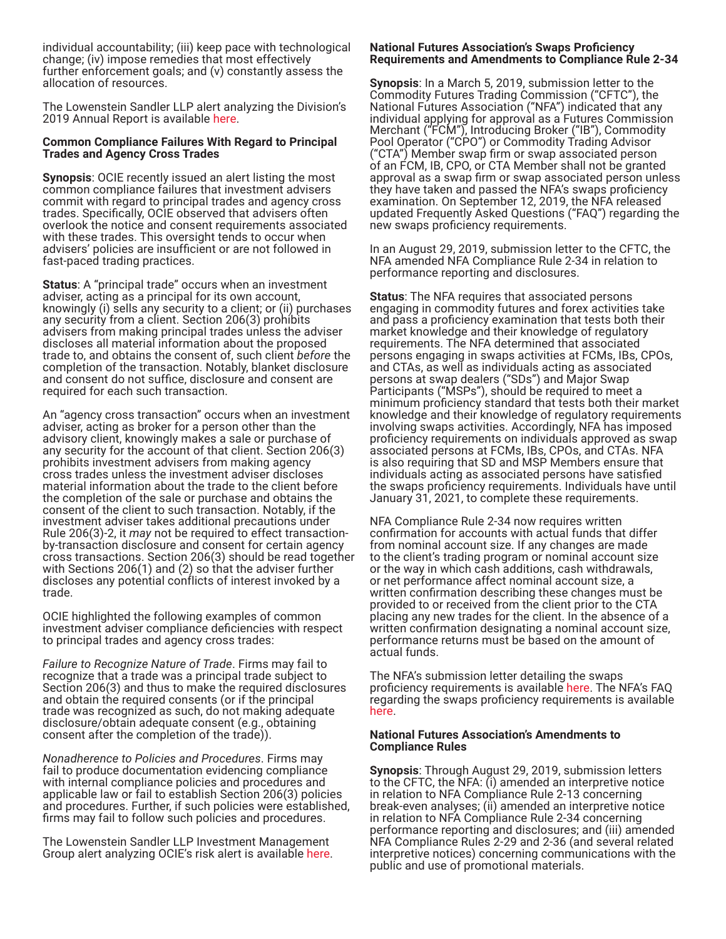individual accountability; (iii) keep pace with technological change; (iv) impose remedies that most effectively further enforcement goals; and (v) constantly assess the allocation of resources.

The Lowenstein Sandler LLP alert analyzing the Division's 2019 Annual Report is available [here](https://www.lowenstein.com/news-insights/publications/client-alerts/the-sec-division-of-enforcement-publishes-2019-results-investment-management-white-collar).

#### **Common Compliance Failures With Regard to Principal Trades and Agency Cross Trades**

**Synopsis**: OCIE recently issued an alert listing the most common compliance failures that investment advisers commit with regard to principal trades and agency cross trades. Specifically, OCIE observed that advisers often overlook the notice and consent requirements associated with these trades. This oversight tends to occur when advisers' policies are insufficient or are not followed in fast-paced trading practices.

**Status**: A "principal trade" occurs when an investment adviser, acting as a principal for its own account, knowingly (i) sells any security to a client; or (ii) purchases any security from a client. Section 206(3) prohibits advisers from making principal trades unless the adviser discloses all material information about the proposed trade to, and obtains the consent of, such client *before* the completion of the transaction. Notably, blanket disclosure and consent do not suffice, disclosure and consent are required for each such transaction.

An "agency cross transaction" occurs when an investment adviser, acting as broker for a person other than the advisory client, knowingly makes a sale or purchase of any security for the account of that client. Section 206(3) prohibits investment advisers from making agency cross trades unless the investment adviser discloses material information about the trade to the client before the completion of the sale or purchase and obtains the consent of the client to such transaction. Notably, if the investment adviser takes additional precautions under Rule 206(3)-2, it *may* not be required to effect transactionby-transaction disclosure and consent for certain agency cross transactions. Section 206(3) should be read together with Sections 206(1) and (2) so that the adviser further discloses any potential conflicts of interest invoked by a trade.

OCIE highlighted the following examples of common investment adviser compliance deficiencies with respect to principal trades and agency cross trades:

*Failure to Recognize Nature of Trade*. Firms may fail to recognize that a trade was a principal trade subject to Section 206(3) and thus to make the required disclosures and obtain the required consents (or if the principal trade was recognized as such, do not making adequate disclosure/obtain adequate consent (e.g., obtaining consent after the completion of the trade)).

*Nonadherence to Policies and Procedures*. Firms may fail to produce documentation evidencing compliance with internal compliance policies and procedures and applicable law or fail to establish Section 206(3) policies and procedures. Further, if such policies were established, firms may fail to follow such policies and procedures.

The Lowenstein Sandler LLP Investment Management Group alert analyzing OCIE's risk alert is available [here](https://www.lowenstein.com/news-insights/publications/client-alerts/sec-identifies-common-principal-and-agency-cross-trading-compliance-deficiencies-investment-management).

#### **National Futures Association's Swaps Proficiency Requirements and Amendments to Compliance Rule 2-34**

**Synopsis**: In a March 5, 2019, submission letter to the Commodity Futures Trading Commission ("CFTC"), the National Futures Association ("NFA") indicated that any individual applying for approval as a Futures Commission Merchant ("FCM"), Introducing Broker ("IB"), Commodity Pool Operator ("CPO") or Commodity Trading Advisor ("CTA") Member swap firm or swap associated person of an FCM, IB, CPO, or CTA Member shall not be granted approval as a swap firm or swap associated person unless they have taken and passed the NFA's swaps proficiency examination. On September 12, 2019, the NFA released updated Frequently Asked Questions ("FAQ") regarding the new swaps proficiency requirements.

In an August 29, 2019, submission letter to the CFTC, the NFA amended NFA Compliance Rule 2-34 in relation to performance reporting and disclosures.

**Status**: The NFA requires that associated persons engaging in commodity futures and forex activities take and pass a proficiency examination that tests both their market knowledge and their knowledge of regulatory requirements. The NFA determined that associated persons engaging in swaps activities at FCMs, IBs, CPOs, and CTAs, as well as individuals acting as associated persons at swap dealers ("SDs") and Major Swap Participants ("MSPs"), should be required to meet a minimum proficiency standard that tests both their market knowledge and their knowledge of regulatory requirements involving swaps activities. Accordingly, NFA has imposed proficiency requirements on individuals approved as swap associated persons at FCMs, IBs, CPOs, and CTAs. NFA is also requiring that SD and MSP Members ensure that individuals acting as associated persons have satisfied the swaps proficiency requirements. Individuals have until January 31, 2021, to complete these requirements.

NFA Compliance Rule 2-34 now requires written confirmation for accounts with actual funds that differ from nominal account size. If any changes are made to the client's trading program or nominal account size or the way in which cash additions, cash withdrawals, or net performance affect nominal account size, a written confirmation describing these changes must be provided to or received from the client prior to the CTA placing any new trades for the client. In the absence of a written confirmation designating a nominal account size, performance returns must be based on the amount of actual funds.

The NFA's submission letter detailing the swaps proficiency requirements is available [here.](https://www.nfa.futures.org/news/PDF/CFTC/InterpNotcNFABylaw301CR2-24ProficiencyRequirementsSwapAPs.pdf) The NFA's FAQ regarding the swaps proficiency requirements is available [here.](https://www.nfa.futures.org/faqs/registrants-membership-app/swap-proficiency.html)

#### **National Futures Association's Amendments to Compliance Rules**

**Synopsis**: Through August 29, 2019, submission letters to the CFTC, the NFA: (i) amended an interpretive notice in relation to NFA Compliance Rule 2-13 concerning break-even analyses; (ii) amended an interpretive notice in relation to NFA Compliance Rule 2-34 concerning performance reporting and disclosures; and (iii) amended NFA Compliance Rules 2-29 and 2-36 (and several related interpretive notices) concerning communications with the public and use of promotional materials.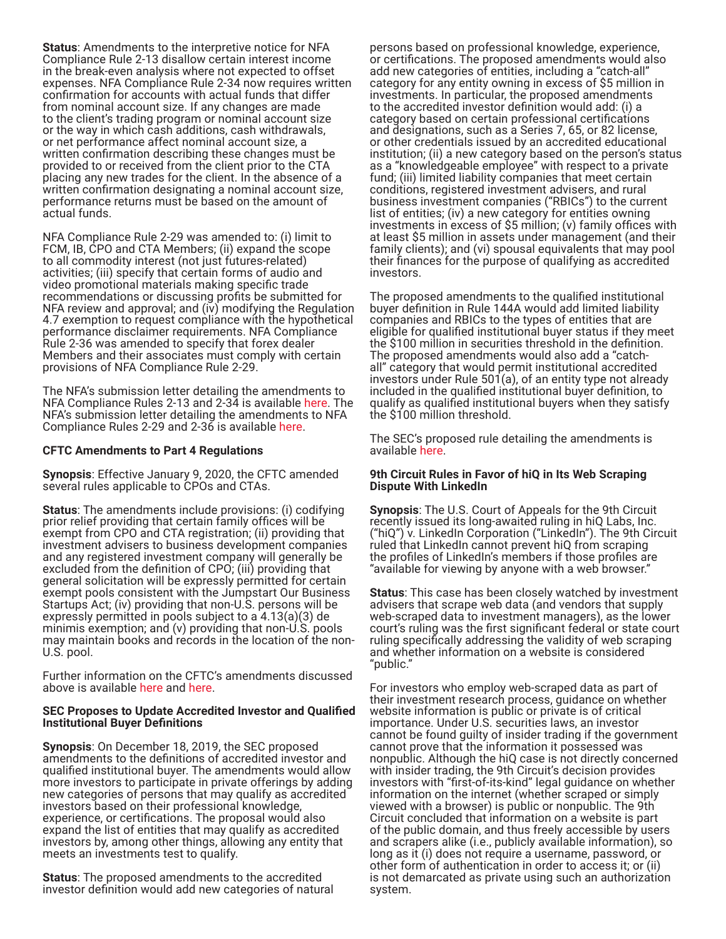**Status**: Amendments to the interpretive notice for NFA Compliance Rule 2-13 disallow certain interest income in the break-even analysis where not expected to offset expenses. NFA Compliance Rule 2-34 now requires written confirmation for accounts with actual funds that differ from nominal account size. If any changes are made to the client's trading program or nominal account size or the way in which cash additions, cash withdrawals, or net performance affect nominal account size, a written confirmation describing these changes must be provided to or received from the client prior to the CTA placing any new trades for the client. In the absence of a written confirmation designating a nominal account size, performance returns must be based on the amount of actual funds.

NFA Compliance Rule 2-29 was amended to: (i) limit to FCM, IB, CPO and CTA Members; (ii) expand the scope to all commodity interest (not just futures-related) activities; (iii) specify that certain forms of audio and video promotional materials making specific trade recommendations or discussing profits be submitted for NFA review and approval; and (iv) modifying the Regulation 4.7 exemption to request compliance with the hypothetical performance disclaimer requirements. NFA Compliance Rule 2-36 was amended to specify that forex dealer Members and their associates must comply with certain provisions of NFA Compliance Rule 2-29.

The NFA's submission letter detailing the amendments to NFA Compliance Rules 2-13 and 2-34 is available [here](https://www.nfa.futures.org/news/PDF/CFTC/08292019-Amendments-CPO-CTA-Disclosure-Performance-Reporting-Requirements.pdf). The NFA's submission letter detailing the amendments to NFA Compliance Rules 2-29 and 2-36 is available [here](https://www.nfa.futures.org/news/PDF/CFTC/08292019-CR-2-29-CR-2-36-Interp-Notices-Use-of-Promotional-Material.pdf).

# **CFTC Amendments to Part 4 Regulations**

**Synopsis**: Effective January 9, 2020, the CFTC amended several rules applicable to CPOs and CTAs.

**Status**: The amendments include provisions: (i) codifying prior relief providing that certain family offices will be exempt from CPO and CTA registration; (ii) providing that investment advisers to business development companies and any registered investment company will generally be excluded from the definition of CPO; (iii) providing that general solicitation will be expressly permitted for certain exempt pools consistent with the Jumpstart Our Business Startups Act; (iv) providing that non-U.S. persons will be expressly permitted in pools subject to a 4.13(a)(3) de minimis exemption; and (v) providing that non-U.S. pools may maintain books and records in the location of the non-U.S. pool.

Further information on the CFTC's amendments discussed above is available [here](https://www.cftc.gov/PressRoom/Events/opaeventopenmeeting112519) and [here.](https://www.govinfo.gov/content/pkg/FR-2019-12-10/pdf/FR-2019-12-10.pdf)

#### **SEC Proposes to Update Accredited Investor and Qualified Institutional Buyer Definitions**

**Synopsis**: On December 18, 2019, the SEC proposed amendments to the definitions of accredited investor and qualified institutional buyer. The amendments would allow more investors to participate in private offerings by adding new categories of persons that may qualify as accredited investors based on their professional knowledge, experience, or certifications. The proposal would also expand the list of entities that may qualify as accredited investors by, among other things, allowing any entity that meets an investments test to qualify.

**Status**: The proposed amendments to the accredited investor definition would add new categories of natural

persons based on professional knowledge, experience, or certifications. The proposed amendments would also add new categories of entities, including a "catch-all" category for any entity owning in excess of \$5 million in investments. In particular, the proposed amendments to the accredited investor definition would add: (i) a category based on certain professional certifications and designations, such as a Series 7, 65, or 82 license, or other credentials issued by an accredited educational institution; (ii) a new category based on the person's status as a "knowledgeable employee" with respect to a private fund; (iii) limited liability companies that meet certain conditions, registered investment advisers, and rural business investment companies ("RBICs") to the current list of entities; (iv) a new category for entities owning investments in excess of \$5 million; (v) family offices with at least \$5 million in assets under management (and their family clients); and (vi) spousal equivalents that may pool their finances for the purpose of qualifying as accredited investors.

The proposed amendments to the qualified institutional buyer definition in Rule 144A would add limited liability companies and RBICs to the types of entities that are eligible for qualified institutional buyer status if they meet the \$100 million in securities threshold in the definition. The proposed amendments would also add a "catchall" category that would permit institutional accredited investors under Rule 501(a), of an entity type not already included in the qualified institutional buyer definition, to qualify as qualified institutional buyers when they satisfy the \$100 million threshold.

The SEC's proposed rule detailing the amendments is available [here.](https://www.sec.gov/rules/proposed/2019/33-10734.pdf)

#### **9th Circuit Rules in Favor of hiQ in Its Web Scraping Dispute With LinkedIn**

**Synopsis**: The U.S. Court of Appeals for the 9th Circuit recently issued its long-awaited ruling in hiQ Labs, Inc. ("hiQ") v. LinkedIn Corporation ("LinkedIn"). The 9th Circuit ruled that LinkedIn cannot prevent hiQ from scraping the profiles of LinkedIn's members if those profiles are "available for viewing by anyone with a web browser."

**Status**: This case has been closely watched by investment advisers that scrape web data (and vendors that supply web-scraped data to investment managers), as the lower court's ruling was the first significant federal or state court ruling specifically addressing the validity of web scraping and whether information on a website is considered "public."

For investors who employ web-scraped data as part of their investment research process, guidance on whether website information is public or private is of critical importance. Under U.S. securities laws, an investor cannot be found guilty of insider trading if the government cannot prove that the information it possessed was nonpublic. Although the hiQ case is not directly concerned with insider trading, the 9th Circuit's decision provides investors with "first-of-its-kind" legal guidance on whether information on the internet (whether scraped or simply viewed with a browser) is public or nonpublic. The 9th Circuit concluded that information on a website is part of the public domain, and thus freely accessible by users and scrapers alike (i.e., publicly available information), so long as it (i) does not require a username, password, or other form of authentication in order to access it; or (ii) is not demarcated as private using such an authorization system.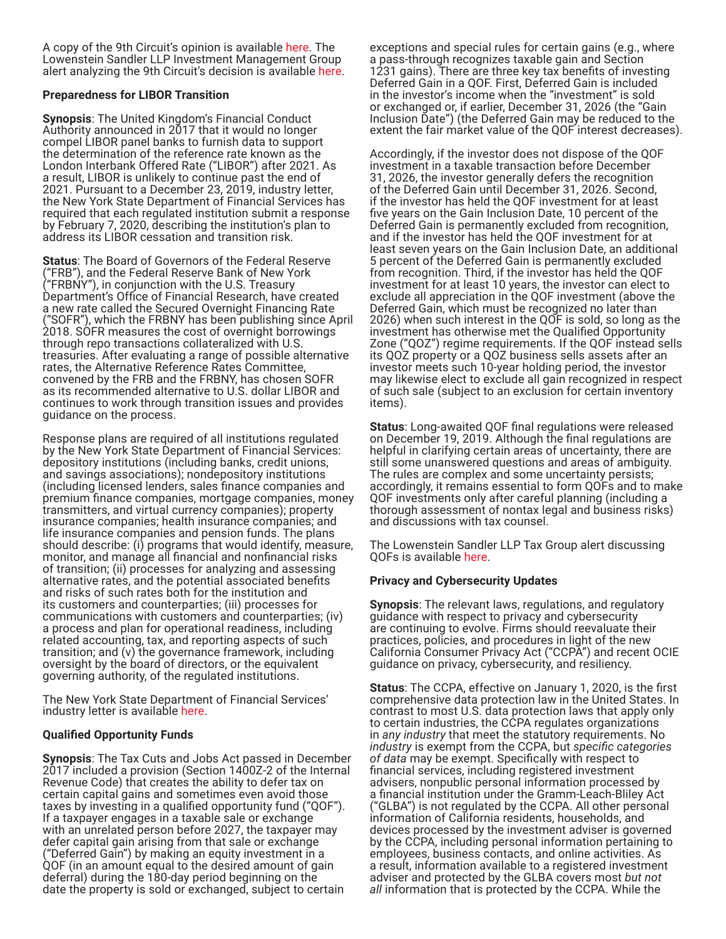A copy of the 9th Circuit's opinion is available [here.](http://cdn.ca9.uscourts.gov/datastore/opinions/2019/09/09/17-16783.pdf) The Lowenstein Sandler LLP Investment Management Group alert analyzing the 9th Circuit's decision is available [here](https://www.lowenstein.com/news-insights/publications/client-alerts/is-the-internet-public-a-review-of-the-ninth-circuit-s-decision-in-hiq-labs-inc-v-linkedin-corporation-investment-management).

# **Preparedness for LIBOR Transition**

**Synopsis**: The United Kingdom's Financial Conduct Authority announced in 2017 that it would no longer compel LIBOR panel banks to furnish data to support the determination of the reference rate known as the London Interbank Offered Rate ("LIBOR") after 2021. As a result, LIBOR is unlikely to continue past the end of 2021. Pursuant to a December 23, 2019, industry letter, the New York State Department of Financial Services has required that each regulated institution submit a response by February 7, 2020, describing the institution's plan to address its LIBOR cessation and transition risk.

**Status**: The Board of Governors of the Federal Reserve ("FRB"), and the Federal Reserve Bank of New York ("FRBNY"), in conjunction with the U.S. Treasury Department's Office of Financial Research, have created a new rate called the Secured Overnight Financing Rate ("SOFR"), which the FRBNY has been publishing since April 2018. SOFR measures the cost of overnight borrowings through repo transactions collateralized with U.S. treasuries. After evaluating a range of possible alternative rates, the Alternative Reference Rates Committee, convened by the FRB and the FRBNY, has chosen SOFR as its recommended alternative to U.S. dollar LIBOR and continues to work through transition issues and provides guidance on the process.

Response plans are required of all institutions regulated by the New York State Department of Financial Services: depository institutions (including banks, credit unions, and savings associations); nondepository institutions (including licensed lenders, sales finance companies and premium finance companies, mortgage companies, money transmitters, and virtual currency companies); property insurance companies; health insurance companies; and life insurance companies and pension funds. The plans should describe: (i) programs that would identify, measure, monitor, and manage all financial and nonfinancial risks of transition; (ii) processes for analyzing and assessing alternative rates, and the potential associated benefits and risks of such rates both for the institution and its customers and counterparties; (iii) processes for communications with customers and counterparties; (iv) a process and plan for operational readiness, including related accounting, tax, and reporting aspects of such transition; and (v) the governance framework, including oversight by the board of directors, or the equivalent governing authority, of the regulated institutions.

The New York State Department of Financial Services' industry letter is available [here](https://www.dfs.ny.gov/system/files/documents/2019/12/il191223_libor_letter.pdf).

# **Qualified Opportunity Funds**

**Synopsis**: The Tax Cuts and Jobs Act passed in December 2017 included a provision (Section 1400Z-2 of the Internal Revenue Code) that creates the ability to defer tax on certain capital gains and sometimes even avoid those taxes by investing in a qualified opportunity fund ("QOF"). If a taxpayer engages in a taxable sale or exchange with an unrelated person before 2027, the taxpayer may defer capital gain arising from that sale or exchange ("Deferred Gain") by making an equity investment in a QOF (in an amount equal to the desired amount of gain deferral) during the 180-day period beginning on the date the property is sold or exchanged, subject to certain

exceptions and special rules for certain gains (e.g., where a pass-through recognizes taxable gain and Section 1231 gains). There are three key tax benefits of investing Deferred Gain in a QOF. First, Deferred Gain is included in the investor's income when the "investment" is sold or exchanged or, if earlier, December 31, 2026 (the "Gain Inclusion Date") (the Deferred Gain may be reduced to the extent the fair market value of the QOF interest decreases).

Accordingly, if the investor does not dispose of the QOF investment in a taxable transaction before December 31, 2026, the investor generally defers the recognition of the Deferred Gain until December 31, 2026. Second, if the investor has held the QOF investment for at least five years on the Gain Inclusion Date, 10 percent of the Deferred Gain is permanently excluded from recognition, and if the investor has held the QOF investment for at least seven years on the Gain Inclusion Date, an additional 5 percent of the Deferred Gain is permanently excluded from recognition. Third, if the investor has held the QOF investment for at least 10 years, the investor can elect to exclude all appreciation in the QOF investment (above the Deferred Gain, which must be recognized no later than 2026) when such interest in the QOF is sold, so long as the investment has otherwise met the Qualified Opportunity Zone ("QOZ") regime requirements. If the QOF instead sells its QOZ property or a QOZ business sells assets after an investor meets such 10-year holding period, the investor may likewise elect to exclude all gain recognized in respect of such sale (subject to an exclusion for certain inventory items).

**Status**: Long-awaited QOF final regulations were released on December 19, 2019. Although the final regulations are helpful in clarifying certain areas of uncertainty, there are still some unanswered questions and areas of ambiguity. The rules are complex and some uncertainty persists; accordingly, it remains essential to form QOFs and to make QOF investments only after careful planning (including a thorough assessment of nontax legal and business risks) and discussions with tax counsel.

The Lowenstein Sandler LLP Tax Group alert discussing QOFs is available [here](https://www.lowenstein.com/news-insights/publications/client-alerts/qualified-opportunity-funds-answers-and-questions-update-3-final-regulations-released-tax).

# **Privacy and Cybersecurity Updates**

**Synopsis**: The relevant laws, regulations, and regulatory guidance with respect to privacy and cybersecurity are continuing to evolve. Firms should reevaluate their practices, policies, and procedures in light of the new California Consumer Privacy Act ("CCPA") and recent OCIE guidance on privacy, cybersecurity, and resiliency.

**Status**: The CCPA, effective on January 1, 2020, is the first comprehensive data protection law in the United States. In contrast to most U.S. data protection laws that apply only to certain industries, the CCPA regulates organizations in *any industry* that meet the statutory requirements. No *industry* is exempt from the CCPA, but *specific categories of data* may be exempt. Specifically with respect to financial services, including registered investment advisers, nonpublic personal information processed by a financial institution under the Gramm-Leach-Bliley Act ("GLBA") is not regulated by the CCPA. All other personal information of California residents, households, and devices processed by the investment adviser is governed by the CCPA, including personal information pertaining to employees, business contacts, and online activities. As a result, information available to a registered investment adviser and protected by the GLBA covers most *but not all* information that is protected by the CCPA. While the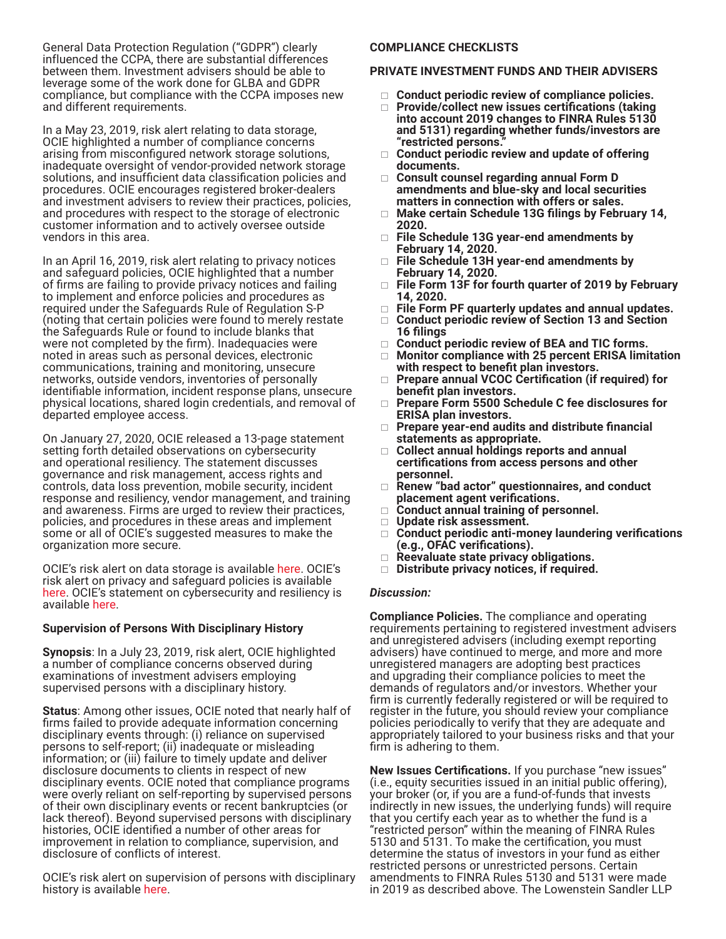General Data Protection Regulation ("GDPR") clearly influenced the CCPA, there are substantial differences between them. Investment advisers should be able to leverage some of the work done for GLBA and GDPR compliance, but compliance with the CCPA imposes new and different requirements.

In a May 23, 2019, risk alert relating to data storage, OCIE highlighted a number of compliance concerns arising from misconfigured network storage solutions, inadequate oversight of vendor-provided network storage solutions, and insufficient data classification policies and procedures. OCIE encourages registered broker-dealers and investment advisers to review their practices, policies, and procedures with respect to the storage of electronic customer information and to actively oversee outside vendors in this area.

In an April 16, 2019, risk alert relating to privacy notices and safeguard policies, OCIE highlighted that a number of firms are failing to provide privacy notices and failing to implement and enforce policies and procedures as required under the Safeguards Rule of Regulation S-P (noting that certain policies were found to merely restate the Safeguards Rule or found to include blanks that were not completed by the firm). Inadequacies were noted in areas such as personal devices, electronic communications, training and monitoring, unsecure networks, outside vendors, inventories of personally identifiable information, incident response plans, unsecure physical locations, shared login credentials, and removal of departed employee access.

On January 27, 2020, OCIE released a 13-page statement setting forth detailed observations on cybersecurity and operational resiliency. The statement discusses governance and risk management, access rights and controls, data loss prevention, mobile security, incident response and resiliency, vendor management, and training and awareness. Firms are urged to review their practices, policies, and procedures in these areas and implement some or all of OCIE's suggested measures to make the organization more secure.

OCIE's risk alert on data storage is available [here.](https://www.sec.gov/files/OCIE%20Risk%20Alert%20-%20Network%20Storage.pdf) OCIE's risk alert on privacy and safeguard policies is available [here.](https://www.sec.gov/files/OCIE%20Risk%20Alert%20-%20Regulation%20S-P.pdf) OCIE's statement on cybersecurity and resiliency is available [here.](https://www.sec.gov/files/OCIE%20Cybersecurity%20and%20Resiliency%20Observations.pdf)

#### **Supervision of Persons With Disciplinary History**

**Synopsis**: In a July 23, 2019, risk alert, OCIE highlighted a number of compliance concerns observed during examinations of investment advisers employing supervised persons with a disciplinary history.

**Status**: Among other issues, OCIE noted that nearly half of firms failed to provide adequate information concerning disciplinary events through: (i) reliance on supervised persons to self-report; (ii) inadequate or misleading information; or (iii) failure to timely update and deliver disclosure documents to clients in respect of new disciplinary events. OCIE noted that compliance programs were overly reliant on self-reporting by supervised persons of their own disciplinary events or recent bankruptcies (or lack thereof). Beyond supervised persons with disciplinary histories, OCIE identified a number of other areas for improvement in relation to compliance, supervision, and disclosure of conflicts of interest.

OCIE's risk alert on supervision of persons with disciplinary history is available [here](https://www.sec.gov/files/OCIE%20Risk%20Alert%20-%20Supervision%20Initiative.pdf).

#### **COMPLIANCE CHECKLISTS**

#### **PRIVATE INVESTMENT FUNDS AND THEIR ADVISERS**

- **Conduct periodic review of compliance policies.**
- **Provide/collect new issues certifications (taking into account 2019 changes to FINRA Rules 5130 and 5131) regarding whether funds/investors are "restricted persons."**
- **Conduct periodic review and update of offering documents.**
- **Consult counsel regarding annual Form D amendments and blue-sky and local securities matters in connection with offers or sales.**
- **Make certain Schedule 13G filings by February 14, 2020.**
- **File Schedule 13G year-end amendments by February 14, 2020.**
- **File Schedule 13H year-end amendments by February 14, 2020.**
- **File Form 13F for fourth quarter of 2019 by February 14, 2020.**
- **File Form PF quarterly updates and annual updates.**
- **Conduct periodic review of Section 13 and Section 16 filings**
- **Conduct periodic review of BEA and TIC forms.**
- **Monitor compliance with 25 percent ERISA limitation with respect to benefit plan investors.**
- **Prepare annual VCOC Certification (if required) for benefit plan investors.**
- **Prepare Form 5500 Schedule C fee disclosures for ERISA plan investors.**
- **Prepare year-end audits and distribute financial statements as appropriate.**
- **Collect annual holdings reports and annual certifications from access persons and other personnel.**
- **Renew "bad actor" questionnaires, and conduct placement agent verifications.**
- **Conduct annual training of personnel.**
- **Update risk assessment.**
- **Conduct periodic anti-money laundering verifications (e.g., OFAC verifications).**
- **Reevaluate state privacy obligations.**
- **Distribute privacy notices, if required.**

#### *Discussion:*

**Compliance Policies.** The compliance and operating requirements pertaining to registered investment advisers and unregistered advisers (including exempt reporting advisers) have continued to merge, and more and more unregistered managers are adopting best practices and upgrading their compliance policies to meet the demands of regulators and/or investors. Whether your firm is currently federally registered or will be required to register in the future, you should review your compliance policies periodically to verify that they are adequate and appropriately tailored to your business risks and that your firm is adhering to them.

**New Issues Certifications.** If you purchase "new issues" (i.e., equity securities issued in an initial public offering), your broker (or, if you are a fund-of-funds that invests indirectly in new issues, the underlying funds) will require that you certify each year as to whether the fund is a "restricted person" within the meaning of FINRA Rules 5130 and 5131. To make the certification, you must determine the status of investors in your fund as either restricted persons or unrestricted persons. Certain amendments to FINRA Rules 5130 and 5131 were made in 2019 as described above. The Lowenstein Sandler LLP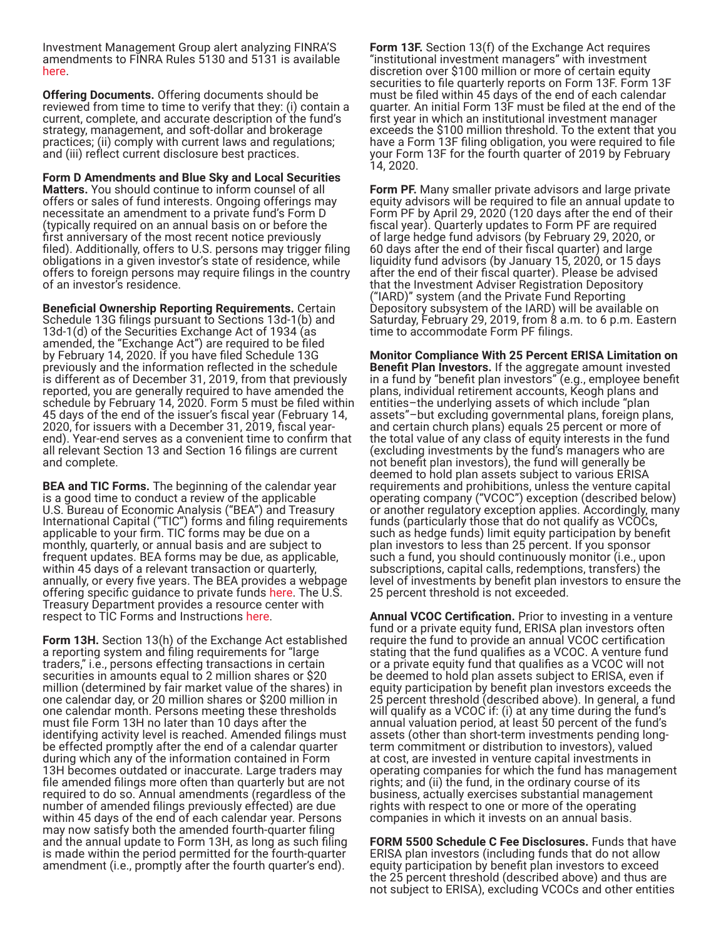Investment Management Group alert analyzing FINRA'S amendments to FINRA Rules 5130 and 5131 is available [here.](https://www.lowenstein.com/news-insights/publications/client-alerts/finra-amends-new-issue-rules-5130-and-5131-investment-management)

**Offering Documents.** Offering documents should be reviewed from time to time to verify that they: (i) contain a current, complete, and accurate description of the fund's strategy, management, and soft-dollar and brokerage practices; (ii) comply with current laws and regulations; and (iii) reflect current disclosure best practices.

**Form D Amendments and Blue Sky and Local Securities Matters.** You should continue to inform counsel of all offers or sales of fund interests. Ongoing offerings may necessitate an amendment to a private fund's Form D (typically required on an annual basis on or before the first anniversary of the most recent notice previously filed). Additionally, offers to U.S. persons may trigger filing obligations in a given investor's state of residence, while offers to foreign persons may require filings in the country of an investor's residence.

**Beneficial Ownership Reporting Requirements.** Certain Schedule 13G filings pursuant to Sections 13d-1(b) and 13d-1(d) of the Securities Exchange Act of 1934 (as amended, the "Exchange Act") are required to be filed by February 14, 2020. If you have filed Schedule 13G previously and the information reflected in the schedule is different as of December 31, 2019, from that previously reported, you are generally required to have amended the schedule by February 14, 2020. Form 5 must be filed within 45 days of the end of the issuer's fiscal year (February 14, 2020, for issuers with a December 31, 2019, fiscal yearend). Year-end serves as a convenient time to confirm that all relevant Section 13 and Section 16 filings are current and complete.

**BEA and TIC Forms.** The beginning of the calendar year is a good time to conduct a review of the applicable U.S. Bureau of Economic Analysis ("BEA") and Treasury International Capital ("TIC") forms and filing requirements applicable to your firm. TIC forms may be due on a monthly, quarterly, or annual basis and are subject to frequent updates. BEA forms may be due, as applicable, within 45 days of a relevant transaction or quarterly, annually, or every five years. The BEA provides a webpage offering specific guidance to private funds [here.](https://apps.bea.gov/surveys/privatefunds/) The U.S. Treasury Department provides a resource center with respect to TIC Forms and Instructions [here](https://www.treasury.gov/resource-center/data-chart-center/tic/Pages/forms.aspx).

**Form 13H.** Section 13(h) of the Exchange Act established a reporting system and filing requirements for "large traders," i.e., persons effecting transactions in certain securities in amounts equal to 2 million shares or \$20 million (determined by fair market value of the shares) in one calendar day, or 20 million shares or \$200 million in one calendar month. Persons meeting these thresholds must file Form 13H no later than 10 days after the identifying activity level is reached. Amended filings must be effected promptly after the end of a calendar quarter during which any of the information contained in Form 13H becomes outdated or inaccurate. Large traders may file amended filings more often than quarterly but are not required to do so. Annual amendments (regardless of the number of amended filings previously effected) are due within 45 days of the end of each calendar year. Persons may now satisfy both the amended fourth-quarter filing and the annual update to Form 13H, as long as such filing is made within the period permitted for the fourth-quarter amendment (i.e., promptly after the fourth quarter's end).

**Form 13F.** Section 13(f) of the Exchange Act requires "institutional investment managers" with investment discretion over \$100 million or more of certain equity securities to file quarterly reports on Form 13F. Form 13F must be filed within 45 days of the end of each calendar quarter. An initial Form 13F must be filed at the end of the first year in which an institutional investment manager exceeds the \$100 million threshold. To the extent that you have a Form 13F filing obligation, you were required to file your Form 13F for the fourth quarter of 2019 by February 14, 2020.

**Form PF.** Many smaller private advisors and large private equity advisors will be required to file an annual update to Form PF by April 29, 2020 (120 days after the end of their fiscal year). Quarterly updates to Form PF are required of large hedge fund advisors (by February 29, 2020, or 60 days after the end of their fiscal quarter) and large liquidity fund advisors (by January 15, 2020, or 15 days after the end of their fiscal quarter). Please be advised that the Investment Adviser Registration Depository ("IARD)" system (and the Private Fund Reporting Depository subsystem of the IARD) will be available on Saturday, February 29, 2019, from 8 a.m. to 6 p.m. Eastern time to accommodate Form PF filings.

**Monitor Compliance With 25 Percent ERISA Limitation on Benefit Plan Investors.** If the aggregate amount invested<br>in a fund by "benefit plan investors" (e.g., employee benefit plans, individual retirement accounts, Keogh plans and entities–the underlying assets of which include "plan assets"–but excluding governmental plans, foreign plans, and certain church plans) equals 25 percent or more of the total value of any class of equity interests in the fund (excluding investments by the fund's managers who are not benefit plan investors), the fund will generally be deemed to hold plan assets subject to various ERISA requirements and prohibitions, unless the venture capital operating company ("VCOC") exception (described below) or another regulatory exception applies. Accordingly, many funds (particularly those that do not qualify as VCOCs, such as hedge funds) limit equity participation by benefit plan investors to less than 25 percent. If you sponsor such a fund, you should continuously monitor (i.e., upon subscriptions, capital calls, redemptions, transfers) the level of investments by benefit plan investors to ensure the 25 percent threshold is not exceeded.

**Annual VCOC Certification.** Prior to investing in a venture fund or a private equity fund, ERISA plan investors often require the fund to provide an annual VCOC certification stating that the fund qualifies as a VCOC. A venture fund or a private equity fund that qualifies as a VCOC will not be deemed to hold plan assets subject to ERISA, even if equity participation by benefit plan investors exceeds the 25 percent threshold (described above). In general, a fund will qualify as a VCOC if: (i) at any time during the fund's annual valuation period, at least 50 percent of the fund's assets (other than short-term investments pending longterm commitment or distribution to investors), valued at cost, are invested in venture capital investments in operating companies for which the fund has management rights; and (ii) the fund, in the ordinary course of its business, actually exercises substantial management rights with respect to one or more of the operating companies in which it invests on an annual basis.

**FORM 5500 Schedule C Fee Disclosures.** Funds that have ERISA plan investors (including funds that do not allow equity participation by benefit plan investors to exceed the 25 percent threshold (described above) and thus are not subject to ERISA), excluding VCOCs and other entities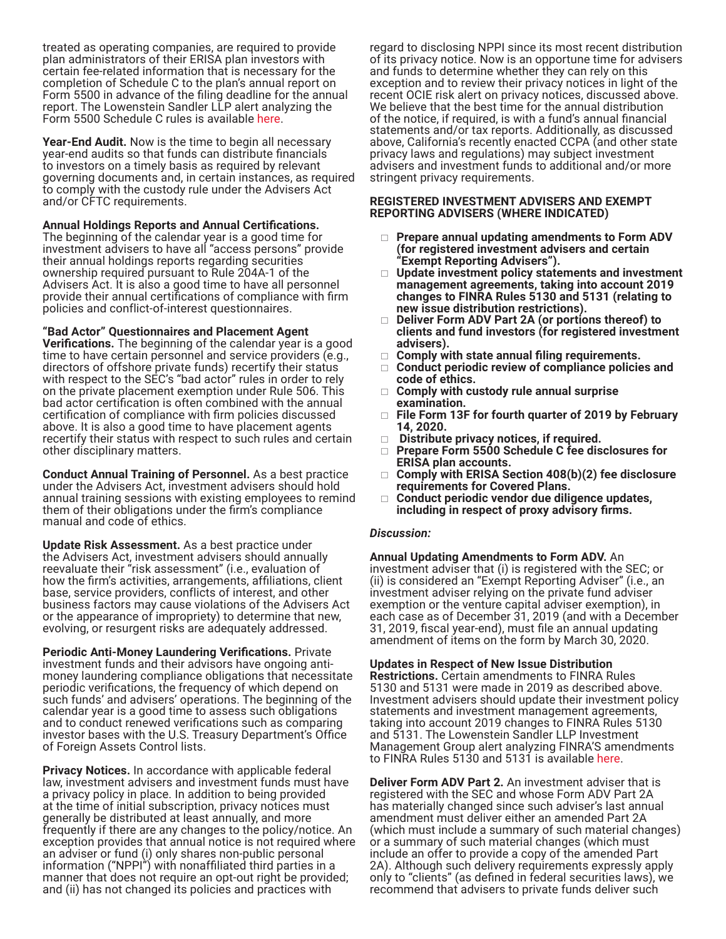treated as operating companies, are required to provide plan administrators of their ERISA plan investors with certain fee-related information that is necessary for the completion of Schedule C to the plan's annual report on Form 5500 in advance of the filing deadline for the annual report. The Lowenstein Sandler LLP alert analyzing the Form 5500 Schedule C rules is available [here.](http://www.lowenstein.com/files/Publication/24527385-dc5e-49e4-a2da-0161cbf3b4bd/Presentation/PublicationAttachment/e2425447-90ec-4e7d-a726-044a584a35e7/Form%205500.pdf)

**Year-End Audit.** Now is the time to begin all necessary year-end audits so that funds can distribute financials to investors on a timely basis as required by relevant governing documents and, in certain instances, as required to comply with the custody rule under the Advisers Act and/or CFTC requirements.

**Annual Holdings Reports and Annual Certifications.** 

The beginning of the calendar year is a good time for investment advisers to have all "access persons" provide their annual holdings reports regarding securities ownership required pursuant to Rule 204A-1 of the Advisers Act. It is also a good time to have all personnel provide their annual certifications of compliance with firm policies and conflict-of-interest questionnaires.

#### **"Bad Actor" Questionnaires and Placement Agent**

**Verifications.** The beginning of the calendar year is a good time to have certain personnel and service providers (e.g., directors of offshore private funds) recertify their status with respect to the SEC's "bad actor" rules in order to rely on the private placement exemption under Rule 506. This bad actor certification is often combined with the annual certification of compliance with firm policies discussed above. It is also a good time to have placement agents recertify their status with respect to such rules and certain other disciplinary matters.

**Conduct Annual Training of Personnel.** As a best practice under the Advisers Act, investment advisers should hold annual training sessions with existing employees to remind them of their obligations under the firm's compliance manual and code of ethics.

**Update Risk Assessment.** As a best practice under the Advisers Act, investment advisers should annually reevaluate their "risk assessment" (i.e., evaluation of how the firm's activities, arrangements, affiliations, client base, service providers, conflicts of interest, and other business factors may cause violations of the Advisers Act or the appearance of impropriety) to determine that new, evolving, or resurgent risks are adequately addressed.

**Periodic Anti-Money Laundering Verifications.** Private investment funds and their advisors have ongoing antimoney laundering compliance obligations that necessitate periodic verifications, the frequency of which depend on such funds' and advisers' operations. The beginning of the calendar year is a good time to assess such obligations and to conduct renewed verifications such as comparing investor bases with the U.S. Treasury Department's Office of Foreign Assets Control lists.

**Privacy Notices.** In accordance with applicable federal law, investment advisers and investment funds must have a privacy policy in place. In addition to being provided at the time of initial subscription, privacy notices must generally be distributed at least annually, and more frequently if there are any changes to the policy/notice. An exception provides that annual notice is not required where an adviser or fund (i) only shares non-public personal information ("NPPI") with nonaffiliated third parties in a manner that does not require an opt-out right be provided; and (ii) has not changed its policies and practices with

regard to disclosing NPPI since its most recent distribution of its privacy notice. Now is an opportune time for advisers and funds to determine whether they can rely on this exception and to review their privacy notices in light of the recent OCIE risk alert on privacy notices, discussed above. We believe that the best time for the annual distribution of the notice, if required, is with a fund's annual financial statements and/or tax reports. Additionally, as discussed above, California's recently enacted CCPA (and other state privacy laws and regulations) may subject investment advisers and investment funds to additional and/or more stringent privacy requirements.

#### **REGISTERED INVESTMENT ADVISERS AND EXEMPT REPORTING ADVISERS (WHERE INDICATED)**

- **Prepare annual updating amendments to Form ADV (for registered investment advisers and certain "Exempt Reporting Advisers").**
- **Update investment policy statements and investment management agreements, taking into account 2019 changes to FINRA Rules 5130 and 5131 (relating to new issue distribution restrictions).**
- **Deliver Form ADV Part 2A (or portions thereof) to clients and fund investors (for registered investment advisers).**
- **Comply with state annual filing requirements.**
- **Conduct periodic review of compliance policies and code of ethics.**
- **Comply with custody rule annual surprise examination.**
- **File Form 13F for fourth quarter of 2019 by February 14, 2020.**
- **Distribute privacy notices, if required.**
- **Prepare Form 5500 Schedule C fee disclosures for ERISA plan accounts.**
- **Comply with ERISA Section 408(b)(2) fee disclosure requirements for Covered Plans.**
- **Conduct periodic vendor due diligence updates, including in respect of proxy advisory firms.**

#### *Discussion:*

**Annual Updating Amendments to Form ADV.** An investment adviser that (i) is registered with the SEC; or (ii) is considered an "Exempt Reporting Adviser" (i.e., an investment adviser relying on the private fund adviser exemption or the venture capital adviser exemption), in each case as of December 31, 2019 (and with a December 31, 2019, fiscal year-end), must file an annual updating amendment of items on the form by March 30, 2020.

**Updates in Respect of New Issue Distribution Restrictions.** Certain amendments to FINRA Rules 5130 and 5131 were made in 2019 as described above. Investment advisers should update their investment policy statements and investment management agreements, taking into account 2019 changes to FINRA Rules 5130 and 5131. The Lowenstein Sandler LLP Investment Management Group alert analyzing FINRA'S amendments to FINRA Rules 5130 and 5131 is available [here](https://www.lowenstein.com/news-insights/publications/client-alerts/finra-amends-new-issue-rules-5130-and-5131-investment-management).

**Deliver Form ADV Part 2.** An investment adviser that is registered with the SEC and whose Form ADV Part 2A has materially changed since such adviser's last annual amendment must deliver either an amended Part 2A (which must include a summary of such material changes) or a summary of such material changes (which must include an offer to provide a copy of the amended Part 2A). Although such delivery requirements expressly apply only to "clients" (as defined in federal securities laws), we recommend that advisers to private funds deliver such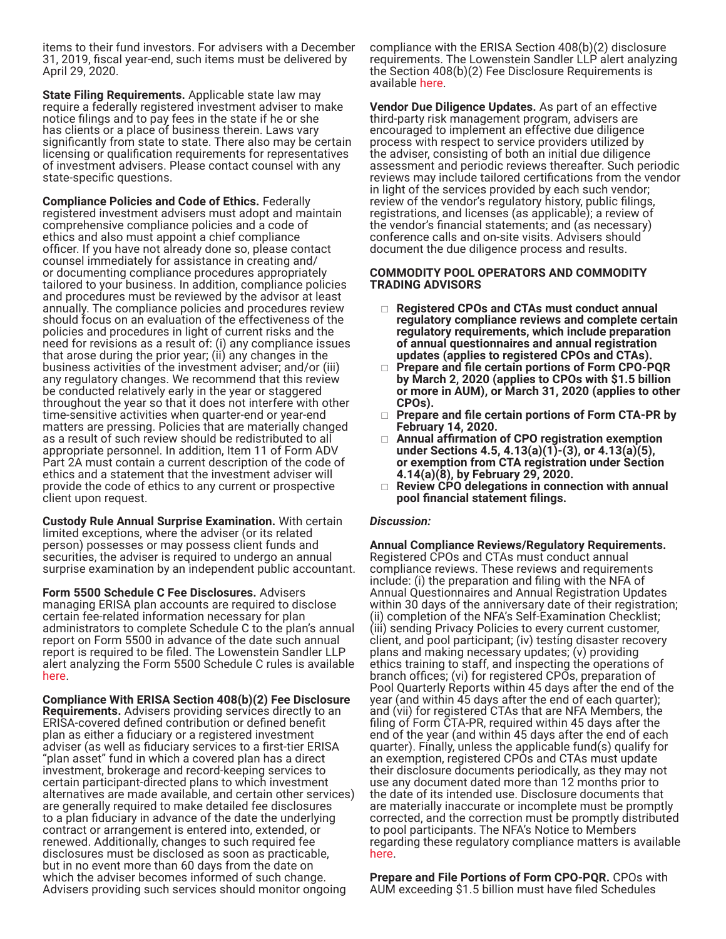items to their fund investors. For advisers with a December 31, 2019, fiscal year-end, such items must be delivered by April 29, 2020.

**State Filing Requirements.** Applicable state law may require a federally registered investment adviser to make notice filings and to pay fees in the state if he or she has clients or a place of business therein. Laws vary significantly from state to state. There also may be certain licensing or qualification requirements for representatives of investment advisers. Please contact counsel with any state-specific questions.

**Compliance Policies and Code of Ethics.** Federally registered investment advisers must adopt and maintain comprehensive compliance policies and a code of ethics and also must appoint a chief compliance officer. If you have not already done so, please contact counsel immediately for assistance in creating and/ or documenting compliance procedures appropriately tailored to your business. In addition, compliance policies and procedures must be reviewed by the advisor at least annually. The compliance policies and procedures review should focus on an evaluation of the effectiveness of the policies and procedures in light of current risks and the need for revisions as a result of: (i) any compliance issues that arose during the prior year; (ii) any changes in the business activities of the investment adviser; and/or (iii) any regulatory changes. We recommend that this review be conducted relatively early in the year or staggered throughout the year so that it does not interfere with other time-sensitive activities when quarter-end or year-end matters are pressing. Policies that are materially changed as a result of such review should be redistributed to all appropriate personnel. In addition, Item 11 of Form ADV Part 2A must contain a current description of the code of ethics and a statement that the investment adviser will provide the code of ethics to any current or prospective client upon request.

**Custody Rule Annual Surprise Examination.** With certain limited exceptions, where the adviser (or its related person) possesses or may possess client funds and securities, the adviser is required to undergo an annual surprise examination by an independent public accountant.

**Form 5500 Schedule C Fee Disclosures.** Advisers managing ERISA plan accounts are required to disclose certain fee-related information necessary for plan administrators to complete Schedule C to the plan's annual report on Form 5500 in advance of the date such annual report is required to be filed. The Lowenstein Sandler LLP alert analyzing the Form 5500 Schedule C rules is available [here.](http://www.lowenstein.com/files/Publication/24527385-dc5e-49e4-a2da-0161cbf3b4bd/Presentation/PublicationAttachment/e2425447-90ec-4e7d-a726-044a584a35e7/Form%205500.pdf)

**Compliance With ERISA Section 408(b)(2) Fee Disclosure Requirements.** Advisers providing services directly to an ERISA-covered defined contribution or defined benefit plan as either a fiduciary or a registered investment adviser (as well as fiduciary services to a first-tier ERISA "plan asset" fund in which a covered plan has a direct investment, brokerage and record-keeping services to certain participant-directed plans to which investment alternatives are made available, and certain other services) are generally required to make detailed fee disclosures to a plan fiduciary in advance of the date the underlying contract or arrangement is entered into, extended, or renewed. Additionally, changes to such required fee disclosures must be disclosed as soon as practicable, but in no event more than 60 days from the date on which the adviser becomes informed of such change. Advisers providing such services should monitor ongoing

compliance with the ERISA Section 408(b)(2) disclosure requirements. The Lowenstein Sandler LLP alert analyzing the Section 408(b)(2) Fee Disclosure Requirements is available [here.](https://www.lowenstein.com/files/publication/dc0c2e3c-8ee5-4b72-a633-05ef5deb7177/presentation/publicationattachment/08b9cd9f-e1db-4343-a926-0ad7178ef292/04.06.2011_doldelaysapplicationofservice.pdf)

**Vendor Due Diligence Updates.** As part of an effective third-party risk management program, advisers are encouraged to implement an effective due diligence process with respect to service providers utilized by the adviser, consisting of both an initial due diligence assessment and periodic reviews thereafter. Such periodic reviews may include tailored certifications from the vendor in light of the services provided by each such vendor; review of the vendor's regulatory history, public filings, registrations, and licenses (as applicable); a review of the vendor's financial statements; and (as necessary) conference calls and on-site visits. Advisers should document the due diligence process and results.

#### **COMMODITY POOL OPERATORS AND COMMODITY TRADING ADVISORS**

- **Registered CPOs and CTAs must conduct annual regulatory compliance reviews and complete certain regulatory requirements, which include preparation of annual questionnaires and annual registration updates (applies to registered CPOs and CTAs).**
- **Prepare and file certain portions of Form CPO-PQR by March 2, 2020 (applies to CPOs with \$1.5 billion or more in AUM), or March 31, 2020 (applies to other CPOs).**
- **Prepare and file certain portions of Form CTA-PR by February 14, 2020.**
- **Annual affirmation of CPO registration exemption under Sections 4.5, 4.13(a)(1)-(3), or 4.13(a)(5), or exemption from CTA registration under Section 4.14(a)(8), by February 29, 2020.**
- **Review CPO delegations in connection with annual pool financial statement filings.**

# *Discussion:*

**Annual Compliance Reviews/Regulatory Requirements.** Registered CPOs and CTAs must conduct annual compliance reviews. These reviews and requirements include: (i) the preparation and filing with the NFA of Annual Questionnaires and Annual Registration Updates within 30 days of the anniversary date of their registration; (ii) completion of the NFA's Self-Examination Checklist; (iii) sending Privacy Policies to every current customer, client, and pool participant; (iv) testing disaster recovery plans and making necessary updates; (v) providing ethics training to staff, and inspecting the operations of branch offices; (vi) for registered CPOs, preparation of Pool Quarterly Reports within 45 days after the end of the year (and within 45 days after the end of each quarter); and (vii) for registered CTAs that are NFA Members, the filing of Form CTA-PR, required within 45 days after the end of the year (and within 45 days after the end of each quarter). Finally, unless the applicable fund(s) qualify for an exemption, registered CPOs and CTAs must update their disclosure documents periodically, as they may not use any document dated more than 12 months prior to the date of its intended use. Disclosure documents that are materially inaccurate or incomplete must be promptly corrected, and the correction must be promptly distributed to pool participants. The NFA's Notice to Members regarding these regulatory compliance matters is available [here.](http://www.nfa.futures.org/news/newsNotice.asp?ArticleID=3750)

**Prepare and File Portions of Form CPO-PQR.** CPOs with AUM exceeding \$1.5 billion must have filed Schedules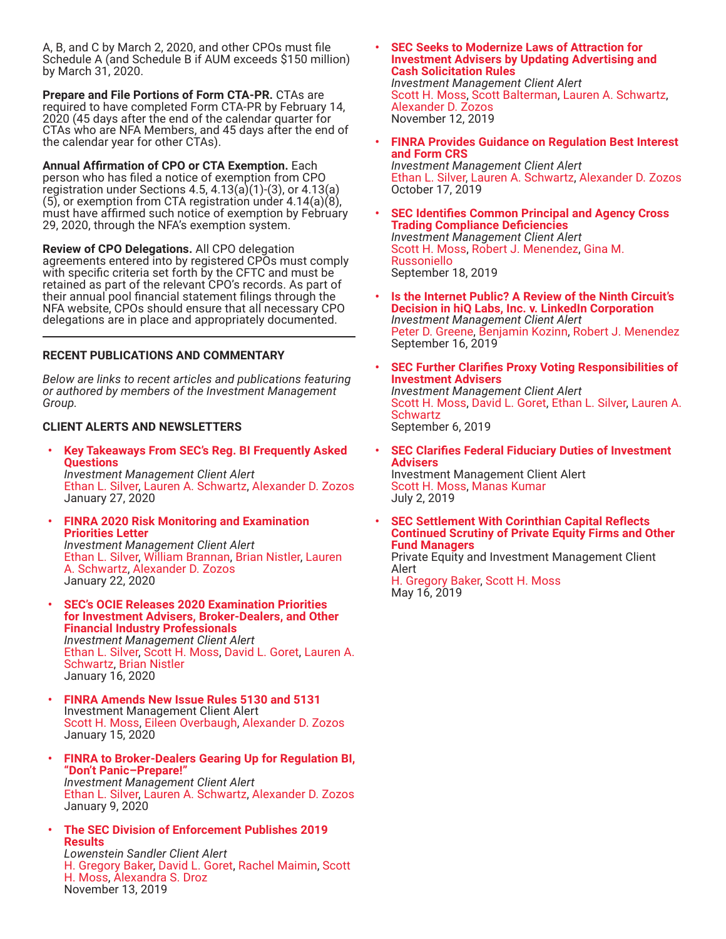A, B, and C by March 2, 2020, and other CPOs must file Schedule A (and Schedule B if AUM exceeds \$150 million) by March 31, 2020.

**Prepare and File Portions of Form CTA-PR.** CTAs are required to have completed Form CTA-PR by February 14, 2020 (45 days after the end of the calendar quarter for CTAs who are NFA Members, and 45 days after the end of the calendar year for other CTAs).

**Annual Affirmation of CPO or CTA Exemption.** Each person who has filed a notice of exemption from CPO registration under Sections 4.5,  $4.13(a)(1)-(3)$ , or  $4.13(a)$ (5), or exemption from CTA registration under 4.14(a)(8), must have affirmed such notice of exemption by February 29, 2020, through the NFA's exemption system.

**Review of CPO Delegations.** All CPO delegation agreements entered into by registered CPOs must comply with specific criteria set forth by the CFTC and must be retained as part of the relevant CPO's records. As part of their annual pool financial statement filings through the NFA website, CPOs should ensure that all necessary CPO delegations are in place and appropriately documented.

# **RECENT PUBLICATIONS AND COMMENTARY**

*Below are links to recent articles and publications featuring or authored by members of the Investment Management Group.* 

# **CLIENT ALERTS AND NEWSLETTERS**

- **• [Key Takeaways From SEC's Reg. BI Frequently Asked](https://www.lowenstein.com/news-insights/publications/client-alerts/key-takeaways-from-sec-s-reg-bi-frequently-asked-questions)  [Questions](https://www.lowenstein.com/news-insights/publications/client-alerts/key-takeaways-from-sec-s-reg-bi-frequently-asked-questions)** *Investment Management Client Alert* [Ethan L. Silver,](https://www.lowenstein.com/people/attorneys/ethan-silver) [Lauren A. Schwartz](https://www.lowenstein.com/people/attorneys/lauren-schwartz), [Alexander D. Zozos](https://www.lowenstein.com/people/attorneys/alexander-zozos) January 27, 2020
- **• [FINRA 2020 Risk Monitoring and Examination](https://www.lowenstein.com/news-insights/publications/client-alerts/finra-2020-risk-monitoring-and-examination-priorities-letter-investment-management)  [Priorities Letter](https://www.lowenstein.com/news-insights/publications/client-alerts/finra-2020-risk-monitoring-and-examination-priorities-letter-investment-management)** *Investment Management Client Alert* [Ethan L. Silver,](https://www.lowenstein.com/people/attorneys/ethan-silver) [William Brannan](https://www.lowenstein.com/people/attorneys/william-brannan), [Brian Nistler](https://www.lowenstein.com/people/attorneys/brian-nistler), [Lauren](https://www.lowenstein.com/people/attorneys/lauren-schwartz)  [A. Schwartz,](https://www.lowenstein.com/people/attorneys/lauren-schwartz) [Alexander D. Zozos](https://www.lowenstein.com/people/attorneys/alexander-zozos) January 22, 2020
- **• [SEC's OCIE Releases 2020 Examination Priorities](https://www.lowenstein.com/news-insights/publications/client-alerts/sec-s-ocie-releases-2020-examination-priorities-for-investment-advisers-broker-dealers-and-other-financial-industry-professionals)  [for Investment Advisers, Broker-Dealers, and Other](https://www.lowenstein.com/news-insights/publications/client-alerts/sec-s-ocie-releases-2020-examination-priorities-for-investment-advisers-broker-dealers-and-other-financial-industry-professionals)  [Financial Industry Professionals](https://www.lowenstein.com/news-insights/publications/client-alerts/sec-s-ocie-releases-2020-examination-priorities-for-investment-advisers-broker-dealers-and-other-financial-industry-professionals)** *Investment Management Client Alert* [Ethan L. Silver,](https://www.lowenstein.com/people/attorneys/ethan-silver) [Scott H. Moss,](https://www.lowenstein.com/people/attorneys/scott-moss) [David L. Goret](https://www.lowenstein.com/people/attorneys/david-goret), [Lauren A.](https://www.lowenstein.com/people/attorneys/lauren-schwartz)  [Schwartz,](https://www.lowenstein.com/people/attorneys/lauren-schwartz) [Brian Nistler](https://www.lowenstein.com/people/attorneys/brian-nistler) January 16, 2020
- **• [FINRA Amends New Issue Rules 5130 and 5131](https://www.lowenstein.com/news-insights/publications/client-alerts/finra-amends-new-issue-rules-5130-and-5131-investment-management)** Investment Management Client Alert [Scott H. Moss,](https://www.lowenstein.com/people/attorneys/scott-moss) [Eileen Overbaugh,](http://Peter D. Greene) [Alexander D. Zozos](https://www.lowenstein.com/people/attorneys/alexander-zozos) January 15, 2020
- **• [FINRA to Broker-Dealers Gearing Up for Regulation BI,](https://www.lowenstein.com/news-insights/publications/client-alerts/finra-to-broker-dealers-gearing-up-for-regulation-bi-don-t-panic-prepare-investment-management)  ["Don't Panic–Prepare!"](https://www.lowenstein.com/news-insights/publications/client-alerts/finra-to-broker-dealers-gearing-up-for-regulation-bi-don-t-panic-prepare-investment-management)** *Investment Management Client Alert* [Ethan L. Silver,](https://www.lowenstein.com/people/attorneys/ethan-silver) [Lauren A. Schwartz](https://www.lowenstein.com/people/attorneys/lauren-schwartz), [Alexander D. Zozos](https://www.lowenstein.com/people/attorneys/alexander-zozos) January 9, 2020
- **• [The SEC Division of Enforcement Publishes 2019](https://www.lowenstein.com/news-insights/publications/client-alerts/the-sec-division-of-enforcement-publishes-2019-results-investment-management-white-collar)  [Results](https://www.lowenstein.com/news-insights/publications/client-alerts/the-sec-division-of-enforcement-publishes-2019-results-investment-management-white-collar)**

*Lowenstein Sandler Client Alert* [H. Gregory Baker](https://www.lowenstein.com/people/attorneys/h-gregory-baker), [David L. Goret,](https://www.lowenstein.com/people/attorneys/david-goret) [Rachel Maimin,](http://H. Gregory Baker) [Scott](https://www.lowenstein.com/people/attorneys/scott-moss)  [H. Moss](https://www.lowenstein.com/people/attorneys/scott-moss), [Alexandra S. Droz](https://www.lowenstein.com/people/attorneys/alexandra-droz) November 13, 2019

- **• [SEC Seeks to Modernize Laws of Attraction for](https://www.lowenstein.com/news-insights/publications/client-alerts/sec-seeks-to-modernize-laws-of-attraction-for-investment-advisers-by-updating-advertising-and-cash-solicitation-rules-investment-management)  [Investment Advisers by Updating Advertising and](https://www.lowenstein.com/news-insights/publications/client-alerts/sec-seeks-to-modernize-laws-of-attraction-for-investment-advisers-by-updating-advertising-and-cash-solicitation-rules-investment-management)  [Cash Solicitation Rules](https://www.lowenstein.com/news-insights/publications/client-alerts/sec-seeks-to-modernize-laws-of-attraction-for-investment-advisers-by-updating-advertising-and-cash-solicitation-rules-investment-management)** *Investment Management Client Alert* [Scott H. Moss,](https://www.lowenstein.com/people/attorneys/scott-moss) [Scott Balterman](https://www.lowenstein.com/people/attorneys/alexandra-droz), [Lauren A. Schwartz,](https://www.lowenstein.com/people/attorneys/lauren-schwartz) [Alexander D. Zozos](https://www.lowenstein.com/people/attorneys/alexander-zozos) November 12, 2019
- **• [FINRA Provides Guidance on Regulation Best Interest](https://www.lowenstein.com/news-insights/publications/client-alerts/finra-provides-guidance-on-regulation-best-interest-and-form-crs-investment-management)  [and Form CRS](https://www.lowenstein.com/news-insights/publications/client-alerts/finra-provides-guidance-on-regulation-best-interest-and-form-crs-investment-management)** *Investment Management Client Alert* [Ethan L. Silver,](https://www.lowenstein.com/people/attorneys/ethan-silver) [Lauren A. Schwartz](https://www.lowenstein.com/people/attorneys/lauren-schwartz), [Alexander D. Zozos](https://www.lowenstein.com/people/attorneys/alexander-zozos) October 17, 2019
- **• [SEC Identifies Common Principal and Agency Cross](https://www.lowenstein.com/news-insights/publications/client-alerts/sec-identifies-common-principal-and-agency-cross-trading-compliance-deficiencies-investment-management)  [Trading Compliance Deficiencies](https://www.lowenstein.com/news-insights/publications/client-alerts/sec-identifies-common-principal-and-agency-cross-trading-compliance-deficiencies-investment-management)** *Investment Management Client Alert* [Scott H. Moss,](https://www.lowenstein.com/people/attorneys/scott-moss) [Robert J. Menendez,](https://www.lowenstein.com/people/attorneys/robert-menendez) [Gina M.](http://Robert J. Menendez)  [Russoniello](http://Robert J. Menendez) September 18, 2019
- **• [Is the Internet Public? A Review of the Ninth Circuit's](https://www.lowenstein.com/news-insights/publications/client-alerts/is-the-internet-public-a-review-of-the-ninth-circuit-s-decision-in-hiq-labs-inc-v-linkedin-corporation-investment-management)  [Decision in hiQ Labs, Inc. v. LinkedIn Corporation](https://www.lowenstein.com/news-insights/publications/client-alerts/is-the-internet-public-a-review-of-the-ninth-circuit-s-decision-in-hiq-labs-inc-v-linkedin-corporation-investment-management)** *Investment Management Client Alert* [Peter D. Greene](https://www.lowenstein.com/people/attorneys/peter-greene), [Benjamin Kozinn,](https://www.lowenstein.com/people/attorneys/benjamin-kozinn) [Robert J. Menendez](https://www.lowenstein.com/people/attorneys/robert-menendez) September 16, 2019
- **• [SEC Further Clarifies Proxy Voting Responsibilities of](https://www.lowenstein.com/news-insights/publications/client-alerts/sec-further-clarifies-proxy-voting-responsibilities-of-investment-advisers-investment-management)  [Investment Advisers](https://www.lowenstein.com/news-insights/publications/client-alerts/sec-further-clarifies-proxy-voting-responsibilities-of-investment-advisers-investment-management)** *Investment Management Client Alert* [Scott H. Moss,](https://www.lowenstein.com/people/attorneys/scott-moss) [David L. Goret,](https://www.lowenstein.com/people/attorneys/david-goret) [Ethan L. Silver](https://www.lowenstein.com/people/attorneys/ethan-silver), [Lauren A.](https://www.lowenstein.com/people/attorneys/lauren-schwartz)  **[Schwartz](https://www.lowenstein.com/people/attorneys/lauren-schwartz)** September 6, 2019
- **• [SEC Clarifies Federal Fiduciary Duties of Investment](https://www.lowenstein.com/news-insights/publications/client-alerts/sec-clarifies-federal-fiduciary-duties-of-investment-advisers-investment-management)  [Advisers](https://www.lowenstein.com/news-insights/publications/client-alerts/sec-clarifies-federal-fiduciary-duties-of-investment-advisers-investment-management)** Investment Management Client Alert [Scott H. Moss,](https://www.lowenstein.com/people/attorneys/scott-moss) [Manas Kumar](https://www.lowenstein.com/people/attorneys/manas-kumar) July 2, 2019
- **• [SEC Settlement With Corinthian Capital Reflects](https://www.lowenstein.com/news-insights/publications/client-alerts/sec-settlement-with-corinthian-capital-reflects-continued-scrutiny-of-private-equity-firms-and-other-fund-managers-peim)  [Continued Scrutiny of Private Equity Firms and Other](https://www.lowenstein.com/news-insights/publications/client-alerts/sec-settlement-with-corinthian-capital-reflects-continued-scrutiny-of-private-equity-firms-and-other-fund-managers-peim)  [Fund Managers](https://www.lowenstein.com/news-insights/publications/client-alerts/sec-settlement-with-corinthian-capital-reflects-continued-scrutiny-of-private-equity-firms-and-other-fund-managers-peim)** Private Equity and Investment Management Client

Alert [H. Gregory Baker](https://www.lowenstein.com/people/attorneys/h-gregory-baker), [Scott H. Moss](https://www.lowenstein.com/people/attorneys/scott-moss)

May 16, 2019